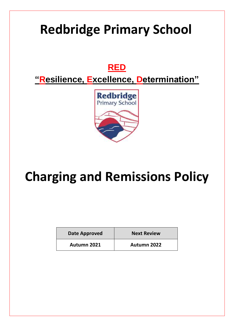# **Redbridge Primary School**

# **RED**

**"Resilience, Excellence, Determination"**



# **Charging and Remissions Policy**

| Date Approved | <b>Next Review</b> |
|---------------|--------------------|
| Autumn 2021   | <b>Autumn 2022</b> |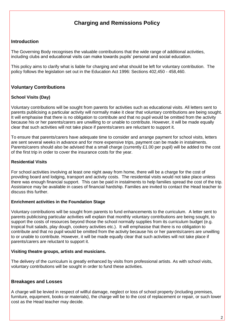# **Charging and Remissions Policy**

#### **Introduction**

The Governing Body recognises the valuable contributions that the wide range of additional activities, including clubs and educational visits can make towards pupils' personal and social education.

This policy aims to clarify what is liable for charging and what should be left for voluntary contribution. The policy follows the legislation set out in the Education Act 1996: Sections 402,450 - 458,460.

### **Voluntary Contributions**

#### **School Visits (Day)**

Voluntary contributions will be sought from parents for activities such as educational visits. All letters sent to parents publicising a particular activity will normally make it clear that voluntary contributions are being sought. It will emphasise that there is no obligation to contribute and that no pupil would be omitted from the activity because his or her parents/carers are unwilling to or unable to contribute. However, it will be made equally clear that such activities will not take place if parents/carers are reluctant to support it.

To ensure that parents/carers have adequate time to consider and arrange payment for school visits, letters are sent several weeks in advance and for more expensive trips, payment can be made in instalments. Parents/carers should also be advised that a small charge (currently £1.00 per pupil) will be added to the cost of the first trip in order to cover the insurance costs for the year.

#### **Residential Visits**

For school activities involving at least one night away from home, there will be a charge for the cost of providing board and lodging, transport and activity costs. The residential visits would not take place unless there was enough financial support. This can be paid in instalments to help families spread the cost of the trip. Assistance may be available in cases of financial hardship. Families are invited to contact the Head teacher to discuss this further.

#### **Enrichment activities in the Foundation Stage**

Voluntary contributions will be sought from parents to fund enhancements to the curriculum. A letter sent to parents publicising particular activities will explain that monthly voluntary contributions are being sought, to support the costs of resources beyond those the school normally supplies from its curriculum budget (e.g. tropical fruit salads, play dough, cookery activities etc.). It will emphasise that there is no obligation to contribute and that no pupil would be omitted from the activity because his or her parents/carers are unwilling to or unable to contribute. However, it will be made equally clear that such activities will not take place if parents/carers are reluctant to support it.

#### **Visiting theatre groups, artists and musicians.**

The delivery of the curriculum is greatly enhanced by visits from professional artists. As with school visits, voluntary contributions will be sought in order to fund these activities.

#### **Breakages and Losses**

A charge will be levied in respect of willful damage, neglect or loss of school property (including premises, furniture, equipment, books or materials), the charge will be to the cost of replacement or repair, or such lower cost as the Head teacher may decide.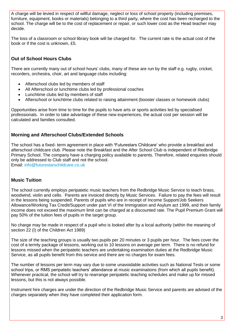A charge will be levied in respect of willful damage, neglect or loss of school property (including premises, furniture, equipment, books or materials) belonging to a third party, where the cost has been recharged to the school. The charge will be to the cost of replacement or repair, or such lower cost as the Head teacher may decide.

The loss of a classroom or school library book will be charged for. The current rate is the actual cost of the book or if the cost is unknown, £5.

# **Out of School Hours Clubs**

There are currently many out of school hours' clubs, many of these are run by the staff e.g. rugby, cricket, recorders, orchestra, choir, art and language clubs including:

- Afterschool clubs led by members of staff
- All Afterschool or lunchtime clubs led by professional coaches
- Lunchtime clubs led by members of staff
- Afterschool or lunchtime clubs related to raising attainment (booster classes or homework clubs)

Opportunities arise from time to time for the pupils to have arts or sports activities led by specialised professionals. In order to take advantage of these new experiences, the actual cost per session will be calculated and families consulted.

## **Morning and Afterschool Clubs/Extended Schools**

The school has a fixed- term agreement in place with **'**Futurestars Childcare' who provide a breakfast and afterschool childcare club. Please note the Breakfast and the After School Club is independent of Redbridge Primary School. The company have a charging policy available to parents. Therefore, related enquiries should only be addressed to Club staff and not the school.

Email: [info@futurestarschildcare.co.uk](mailto:info@futurestarschildcare.co.uk)

### **Music Tuition**

The school currently employs peripatetic music teachers from the Redbridge Music Service to teach brass, woodwind, violin and cello. Parents are invoiced directly by Music Services. Failure to pay the fees will result in the lessons being suspended. Parents of pupils who are in receipt of Income Support/Job Seekers Allowance/Working Tax Credit/Support under part VI of the Immigration and Asylum act 1999, and their family income does not exceed the maximum limit can be charged at a discounted rate. The Pupil Premium Grant will pay 50% of the tuition fees of pupils in the target group.

No charge may be made in respect of a pupil who is looked after by a local authority (within the meaning of section 22 (I) of the Children Act 1989)

The size of the teaching groups is usually two pupils per 20 minutes or 3 pupils per hour. The fees cover the cost of a termly package of lessons, working out to 10 lessons on average per term. There is no refund for lessons missed when the peripatetic teachers are undertaking examination duties at the Redbridge Music Service, as all pupils benefit from this service and there are no charges for exam fees.

The number of lessons per term may vary due to some unavoidable activities such as National Tests or some school trips, or RMS peripatetic teachers' attendance at music examinations (from which all pupils benefit). Whenever practical, the school will try to rearrange peripatetic teaching schedules and make up for missed lessons, but this is not always possible.

Instrument hire charges are under the direction of the Redbridge Music Service and parents are advised of the charges separately when they have completed their application form.